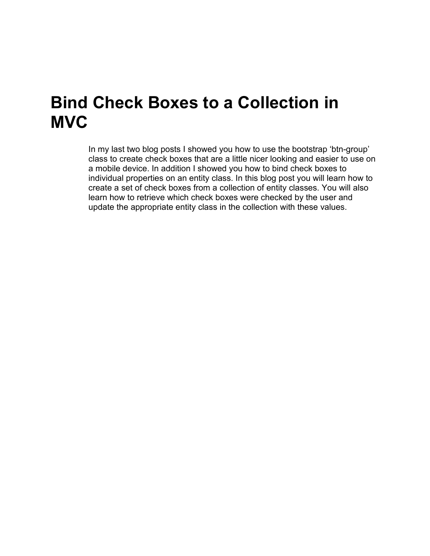### **Bind Check Boxes to a Collection in MVC**

In my last two blog posts I showed you how to use the bootstrap 'btn-group' class to create check boxes that are a little nicer looking and easier to use on a mobile device. In addition I showed you how to bind check boxes to individual properties on an entity class. In this blog post you will learn how to create a set of check boxes from a collection of entity classes. You will also learn how to retrieve which check boxes were checked by the user and update the appropriate entity class in the collection with these values.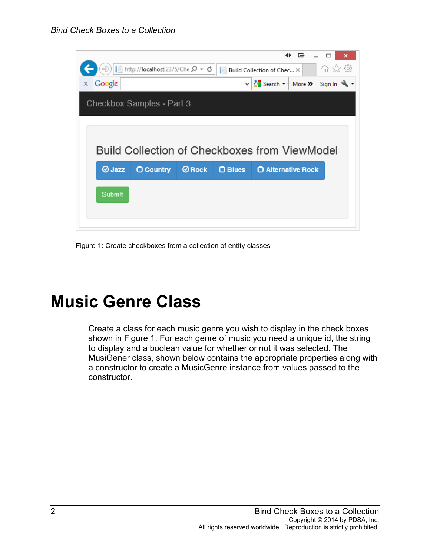

Figure 1: Create checkboxes from a collection of entity classes

# **Music Genre Class**

Create a class for each music genre you wish to display in the check boxes shown in Figure 1. For each genre of music you need a unique id, the string to display and a boolean value for whether or not it was selected. The MusiGener class, shown below contains the appropriate properties along with a constructor to create a MusicGenre instance from values passed to the constructor.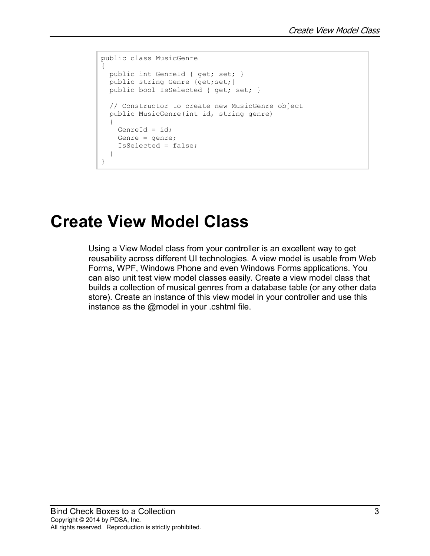```
public class MusicGenre
{
  public int GenreId { get; set; }
  public string Genre {get;set;}
 public bool IsSelected { get; set; }
  // Constructor to create new MusicGenre object
  public MusicGenre(int id, string genre)
   {
    GenreId = id; Genre = genre;
     IsSelected = false;
  }
}
```
#### **Create View Model Class**

Using a View Model class from your controller is an excellent way to get reusability across different UI technologies. A view model is usable from Web Forms, WPF, Windows Phone and even Windows Forms applications. You can also unit test view model classes easily. Create a view model class that builds a collection of musical genres from a database table (or any other data store). Create an instance of this view model in your controller and use this instance as the @model in your .cshtml file.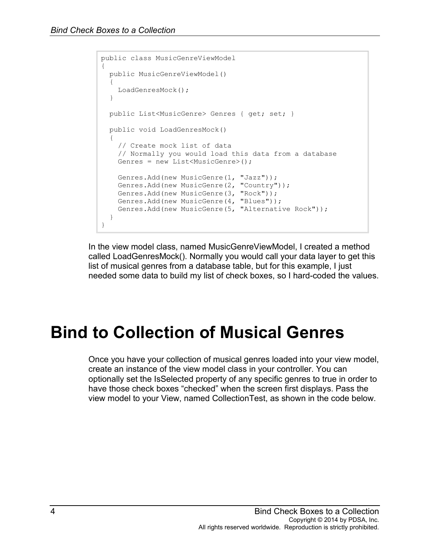```
public class MusicGenreViewModel
{
  public MusicGenreViewModel()
   {
    LoadGenresMock();
   }
  public List<MusicGenre> Genres { get; set; }
  public void LoadGenresMock()
   {
     // Create mock list of data
     // Normally you would load this data from a database
   Genres = new List<MusicGenre>();
     Genres.Add(new MusicGenre(1, "Jazz"));
    Genres.Add(new MusicGenre(2, "Country"));
     Genres.Add(new MusicGenre(3, "Rock"));
    Genres.Add(new MusicGenre(4, "Blues"));
    Genres.Add(new MusicGenre(5, "Alternative Rock"));
  }
}
```
In the view model class, named MusicGenreViewModel, I created a method called LoadGenresMock(). Normally you would call your data layer to get this list of musical genres from a database table, but for this example, I just needed some data to build my list of check boxes, so I hard-coded the values.

# **Bind to Collection of Musical Genres**

Once you have your collection of musical genres loaded into your view model, create an instance of the view model class in your controller. You can optionally set the IsSelected property of any specific genres to true in order to have those check boxes "checked" when the screen first displays. Pass the view model to your View, named CollectionTest, as shown in the code below.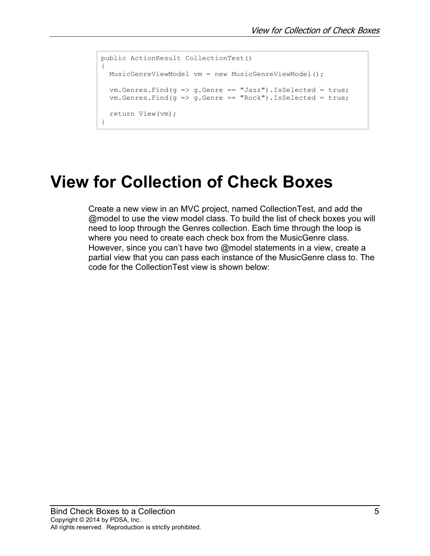```
public ActionResult CollectionTest()
{
   MusicGenreViewModel vm = new MusicGenreViewModel();
   vm.Genres.Find(g => g.Genre == "Jazz").IsSelected = true;
  vm.Genres.Find(q \Rightarrow q.Genre == "Rock") .ISSelected = true; return View(vm);
}
```
# **View for Collection of Check Boxes**

Create a new view in an MVC project, named CollectionTest, and add the @model to use the view model class. To build the list of check boxes you will need to loop through the Genres collection. Each time through the loop is where you need to create each check box from the MusicGenre class. However, since you can't have two @model statements in a view, create a partial view that you can pass each instance of the MusicGenre class to. The code for the CollectionTest view is shown below: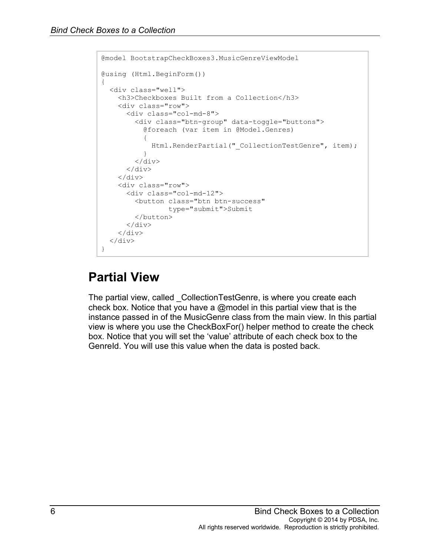```
@model BootstrapCheckBoxes3.MusicGenreViewModel
@using (Html.BeginForm())
\mathfrak{t} <div class="well">
     <h3>Checkboxes Built from a Collection</h3>
     <div class="row">
       <div class="col-md-8">
          <div class="btn-group" data-toggle="buttons">
            @foreach (var item in @Model.Genres)
 {
           Html.RenderPartial("_CollectionTestGenre", item);
 }
        \langle div>
      \langle/div\rangle\langlediv\rangle <div class="row">
       <div class="col-md-12">
         <button class="btn btn-success"
                  type="submit">Submit
          </button>
      \langle div>
    \langle div\rangle\langle div>
}
```
#### **Partial View**

The partial view, called \_CollectionTestGenre, is where you create each check box. Notice that you have a @model in this partial view that is the instance passed in of the MusicGenre class from the main view. In this partial view is where you use the CheckBoxFor() helper method to create the check box. Notice that you will set the 'value' attribute of each check box to the Genreld. You will use this value when the data is posted back.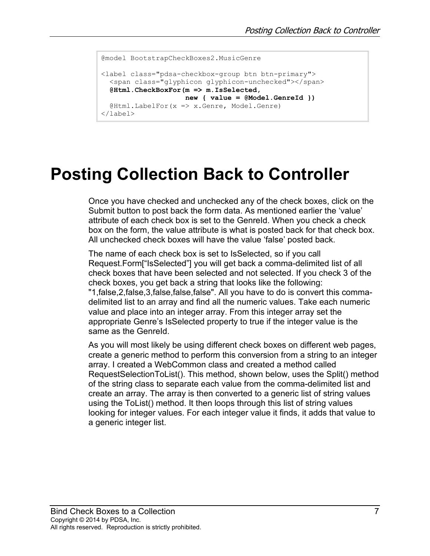```
@model BootstrapCheckBoxes2.MusicGenre
<label class="pdsa-checkbox-group btn btn-primary">
  <span class="glyphicon glyphicon-unchecked"></span>
  @Html.CheckBoxFor(m => m.IsSelected, 
                    new { value = @Model.GenreId })
  @Html.LabelFor(x => x.Genre, Model.Genre)
</label>
```
# **Posting Collection Back to Controller**

Once you have checked and unchecked any of the check boxes, click on the Submit button to post back the form data. As mentioned earlier the 'value' attribute of each check box is set to the GenreId. When you check a check box on the form, the value attribute is what is posted back for that check box. All unchecked check boxes will have the value 'false' posted back.

The name of each check box is set to IsSelected, so if you call Request.Form["IsSelected"] you will get back a comma-delimited list of all check boxes that have been selected and not selected. If you check 3 of the check boxes, you get back a string that looks like the following: "1,false,2,false,3,false,false,false". All you have to do is convert this commadelimited list to an array and find all the numeric values. Take each numeric value and place into an integer array. From this integer array set the appropriate Genre's IsSelected property to true if the integer value is the same as the GenreId.

As you will most likely be using different check boxes on different web pages, create a generic method to perform this conversion from a string to an integer array. I created a WebCommon class and created a method called RequestSelectionToList(). This method, shown below, uses the Split() method of the string class to separate each value from the comma-delimited list and create an array. The array is then converted to a generic list of string values using the ToList() method. It then loops through this list of string values looking for integer values. For each integer value it finds, it adds that value to a generic integer list.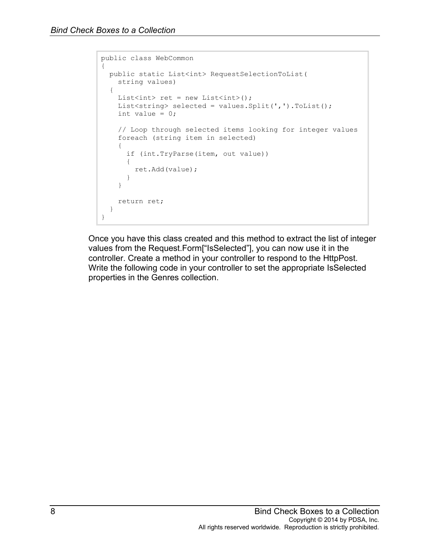```
public class WebCommon
{
  public static List<int> RequestSelectionToList(
    string values)
   {
   List<int> ret = new List<int>();
     List<string> selected = values.Split(',').ToList();
    int value = 0;
     // Loop through selected items looking for integer values
     foreach (string item in selected)
     {
       if (int.TryParse(item, out value))
       {
         ret.Add(value);
       }
     }
     return ret;
   }
}
```
Once you have this class created and this method to extract the list of integer values from the Request.Form["IsSelected"], you can now use it in the controller. Create a method in your controller to respond to the HttpPost. Write the following code in your controller to set the appropriate IsSelected properties in the Genres collection.